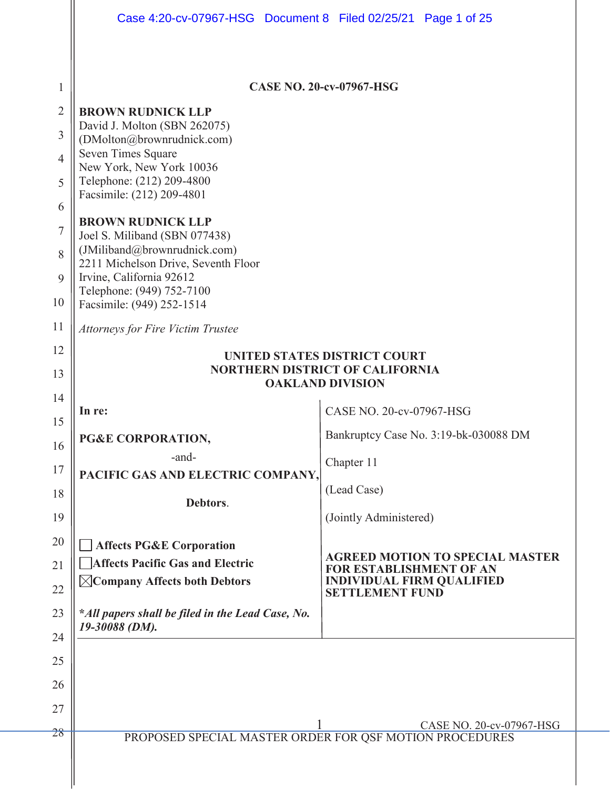|                | Case 4:20-cv-07967-HSG  Document 8  Filed 02/25/21  Page 1 of 25   |                                                                          |
|----------------|--------------------------------------------------------------------|--------------------------------------------------------------------------|
|                |                                                                    |                                                                          |
| 1              |                                                                    | <b>CASE NO. 20-cv-07967-HSG</b>                                          |
| $\overline{2}$ | <b>BROWN RUDNICK LLP</b>                                           |                                                                          |
| 3              | David J. Molton (SBN 262075)<br>(DMolton@brownrudnick.com)         |                                                                          |
| $\overline{4}$ | Seven Times Square<br>New York, New York 10036                     |                                                                          |
| 5              | Telephone: (212) 209-4800                                          |                                                                          |
| 6              | Facsimile: (212) 209-4801                                          |                                                                          |
| $\overline{7}$ | <b>BROWN RUDNICK LLP</b><br>Joel S. Miliband (SBN 077438)          |                                                                          |
| 8              | (JMiliband@brownrudnick.com)                                       |                                                                          |
| 9              | 2211 Michelson Drive, Seventh Floor<br>Irvine, California 92612    |                                                                          |
| 10             | Telephone: (949) 752-7100<br>Facsimile: (949) 252-1514             |                                                                          |
| 11             | <b>Attorneys for Fire Victim Trustee</b>                           |                                                                          |
| 12             |                                                                    | UNITED STATES DISTRICT COURT                                             |
| 13             | <b>NORTHERN DISTRICT OF CALIFORNIA</b><br><b>OAKLAND DIVISION</b>  |                                                                          |
| 14             |                                                                    |                                                                          |
| 15             | In re:                                                             | CASE NO. 20-cv-07967-HSG                                                 |
| 16             | PG&E CORPORATION,                                                  | Bankruptcy Case No. 3:19-bk-030088 DM                                    |
| 17             | -and-<br>PACIFIC GAS AND ELECTRIC COMPANY,                         | Chapter 11                                                               |
| 18             |                                                                    | (Lead Case)                                                              |
| 19             | Debtors.                                                           | (Jointly Administered)                                                   |
| 20             | <b>Affects PG&amp;E Corporation</b>                                |                                                                          |
| 21             | <b>Affects Pacific Gas and Electric</b>                            | <b>AGREED MOTION TO SPECIAL MASTER</b><br><b>FOR ESTABLISHMENT OF AN</b> |
| 22             | $\boxtimes$ Company Affects both Debtors                           | <b>INDIVIDUAL FIRM QUALIFIED</b><br><b>SETTLEMENT FUND</b>               |
| 23             | *All papers shall be filed in the Lead Case, No.<br>19-30088 (DM). |                                                                          |
| 24             |                                                                    |                                                                          |
| 25             |                                                                    |                                                                          |
| 26             |                                                                    |                                                                          |
| 27             |                                                                    |                                                                          |
| 28             | PROPOSED SPECIAL MASTER ORDER FOR QSF MOTION PROCEDURES            | CASE NO. 20-cv-07967-HSG                                                 |
|                |                                                                    |                                                                          |
|                |                                                                    |                                                                          |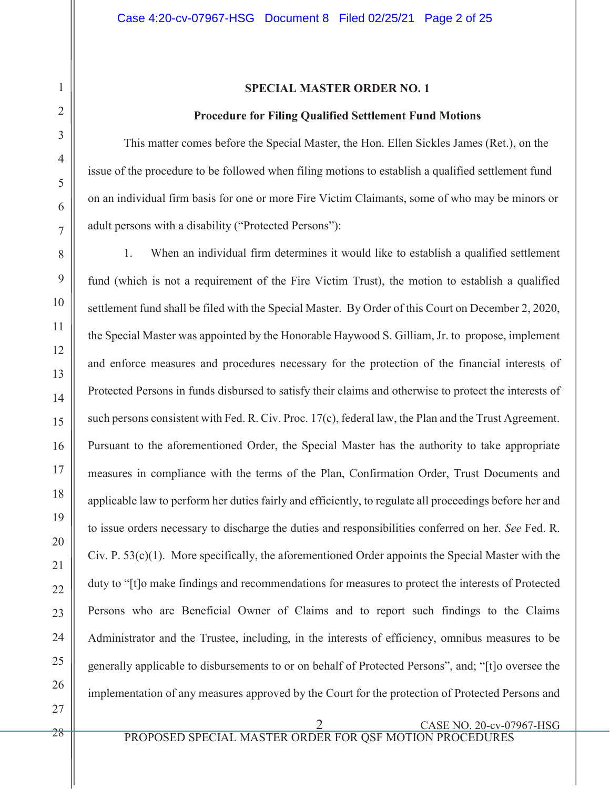### **SPECIAL MASTER ORDER NO. 1**

#### **Procedure for Filing Qualified Settlement Fund Motions**

This matter comes before the Special Master, the Hon. Ellen Sickles James (Ret.), on the issue of the procedure to be followed when filing motions to establish a qualified settlement fund on an individual firm basis for one or more Fire Victim Claimants, some of who may be minors or adult persons with a disability ("Protected Persons"):

1. When an individual firm determines it would like to establish a qualified settlement fund (which is not a requirement of the Fire Victim Trust), the motion to establish a qualified settlement fund shall be filed with the Special Master. By Order of this Court on December 2, 2020, the Special Master was appointed by the Honorable Haywood S. Gilliam, Jr. to propose, implement and enforce measures and procedures necessary for the protection of the financial interests of Protected Persons in funds disbursed to satisfy their claims and otherwise to protect the interests of such persons consistent with Fed. R. Civ. Proc. 17(c), federal law, the Plan and the Trust Agreement. Pursuant to the aforementioned Order, the Special Master has the authority to take appropriate measures in compliance with the terms of the Plan, Confirmation Order, Trust Documents and applicable law to perform her duties fairly and efficiently, to regulate all proceedings before her and to issue orders necessary to discharge the duties and responsibilities conferred on her. *See* Fed. R. Civ. P. 53(c)(1). More specifically, the aforementioned Order appoints the Special Master with the duty to "[t]o make findings and recommendations for measures to protect the interests of Protected Persons who are Beneficial Owner of Claims and to report such findings to the Claims Administrator and the Trustee, including, in the interests of efficiency, omnibus measures to be generally applicable to disbursements to or on behalf of Protected Persons", and; "[t]o oversee the implementation of any measures approved by the Court for the protection of Protected Persons and

2 CASE NO. 20-cv-07967-HSG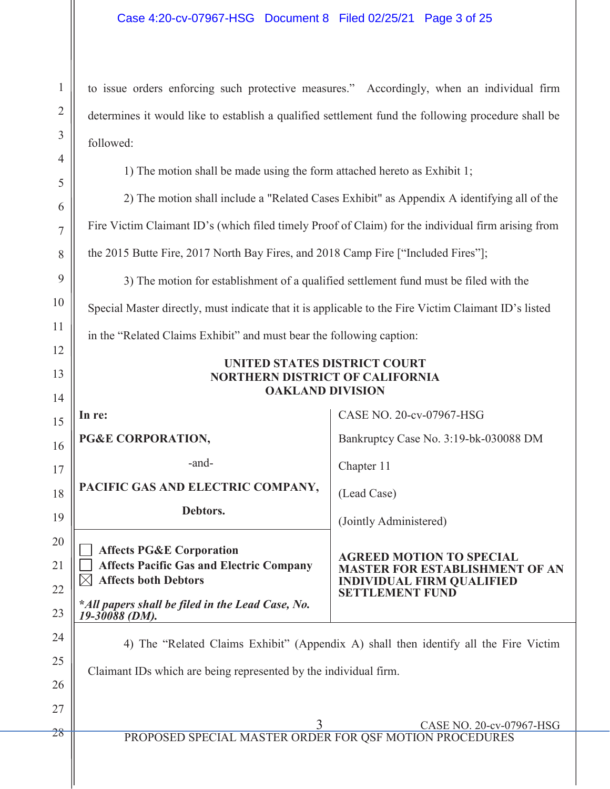to issue orders enforcing such protective measures." Accordingly, when an individual firm determines it would like to establish a qualified settlement fund the following procedure shall be followed:

1) The motion shall be made using the form attached hereto as Exhibit 1;

2) The motion shall include a "Related Cases Exhibit" as Appendix A identifying all of the Fire Victim Claimant ID's (which filed timely Proof of Claim) for the individual firm arising from the 2015 Butte Fire, 2017 North Bay Fires, and 2018 Camp Fire ["Included Fires"];

3) The motion for establishment of a qualified settlement fund must be filed with the Special Master directly, must indicate that it is applicable to the Fire Victim Claimant ID's listed

in the "Related Claims Exhibit" and must bear the following caption:

# **UNITED STATES DISTRICT COURT NORTHERN DISTRICT OF CALIFORNIA OAKLAND DIVISION**

**In re: PG&E CORPORATION,** -and-CASE NO. 20-cv-07967-HSG Bankruptcy Case No. 3:19-bk-030088 DM Chapter 11 (Lead Case) (Jointly Administered) **AGREED MOTION TO SPECIAL MASTER FOR ESTABLISHMENT OF AN INDIVIDUAL FIRM QUALIFIED SETTLEMENT FUND PACIFIC GAS AND ELECTRIC COMPANY, Debtors. Affects PG&E Corporation Affects Pacific Gas and Electric Company Affects both Debtors \****All papers shall be filed in the Lead Case, No. 19-30088 (DM).* 

4) The "Related Claims Exhibit" (Appendix A) shall then identify all the Fire Victim Claimant IDs which are being represented by the individual firm.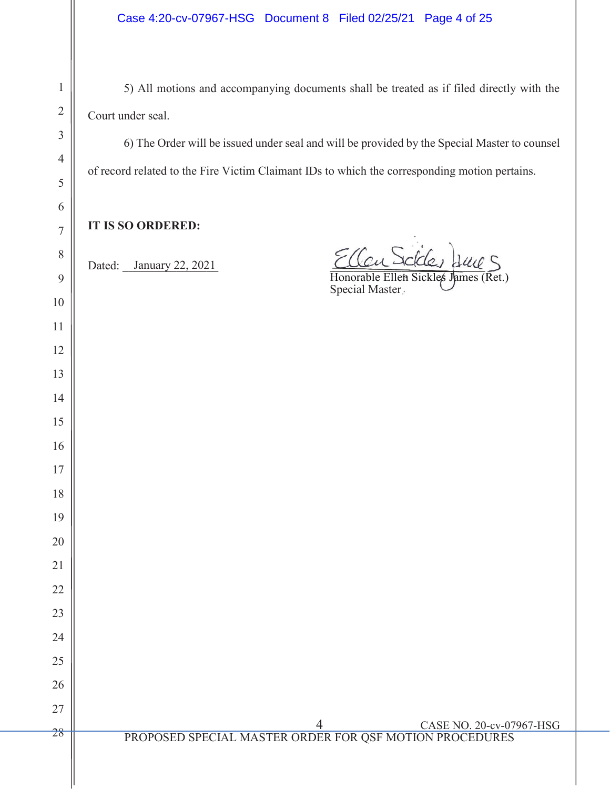5) All motions and accompanying documents shall be treated as if filed directly with the Court under seal.

6) The Order will be issued under seal and will be provided by the Special Master to counsel of record related to the Fire Victim Claimant IDs to which the corresponding motion pertains.

**IT IS SO ORDERED:**

Dated: January 22, 2021

Dated: January 22, 2021 allen rades sure

 Honorable Ellen Sickles James (Ret.) Special Master Honorable Ellen Sickles James (Ret.)

 4 CASE NO. 20-cv-07967-HSG PROPOSED SPECIAL MASTER ORDER FOR QSF MOTION PROCEDURES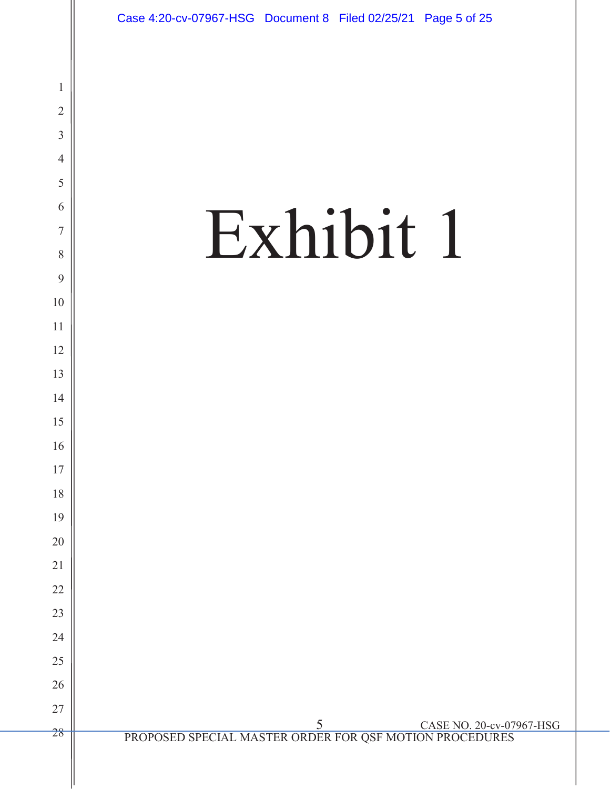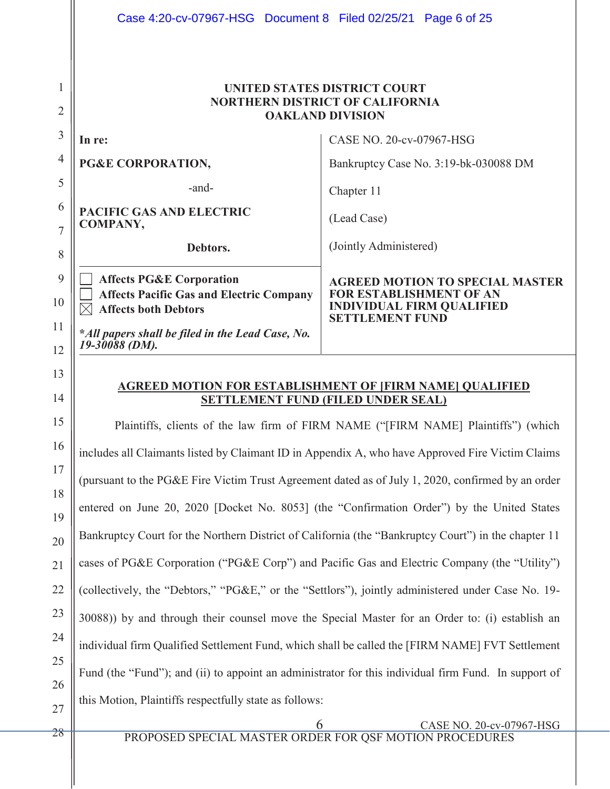| Case 4:20-cv-07967-HSG Document 8 Filed 02/25/21 Page 6 of 25                                                                                                             |                                                                                                                                        |
|---------------------------------------------------------------------------------------------------------------------------------------------------------------------------|----------------------------------------------------------------------------------------------------------------------------------------|
|                                                                                                                                                                           | UNITED STATES DISTRICT COURT<br><b>NORTHERN DISTRICT OF CALIFORNIA</b><br><b>OAKLAND DIVISION</b>                                      |
| In re:                                                                                                                                                                    | CASE NO. 20-cv-07967-HSG                                                                                                               |
| PG&E CORPORATION,                                                                                                                                                         | Bankruptcy Case No. 3:19-bk-030088 DM                                                                                                  |
| -and-                                                                                                                                                                     | Chapter 11                                                                                                                             |
| <b>PACIFIC GAS AND ELECTRIC</b><br><b>COMPANY,</b>                                                                                                                        | (Lead Case)                                                                                                                            |
| Debtors.                                                                                                                                                                  | (Jointly Administered)                                                                                                                 |
| <b>Affects PG&amp;E Corporation</b><br><b>Affects Pacific Gas and Electric Company</b><br><b>Affects both Debtors</b><br>*All papers shall be filed in the Lead Case, No. | <b>AGREED MOTION TO SPECIAL MASTER</b><br><b>FOR ESTABLISHMENT OF AN</b><br><b>INDIVIDUAL FIRM QUALIFIED</b><br><b>SETTLEMENT FUND</b> |
|                                                                                                                                                                           | 19-30088 (DM).                                                                                                                         |

**AGREED MOTION FOR ESTABLISHMENT OF [FIRM NAME] QUALIFIED SETTLEMENT FUND (FILED UNDER SEAL)** 

Plaintiffs, clients of the law firm of FIRM NAME ("[FIRM NAME] Plaintiffs") (which includes all Claimants listed by Claimant ID in Appendix A, who have Approved Fire Victim Claims (pursuant to the PG&E Fire Victim Trust Agreement dated as of July 1, 2020, confirmed by an order entered on June 20, 2020 [Docket No. 8053] (the "Confirmation Order") by the United States Bankruptcy Court for the Northern District of California (the "Bankruptcy Court") in the chapter 11 cases of PG&E Corporation ("PG&E Corp") and Pacific Gas and Electric Company (the "Utility") (collectively, the "Debtors," "PG&E," or the "Settlors"), jointly administered under Case No. 19- 30088)) by and through their counsel move the Special Master for an Order to: (i) establish an individual firm Qualified Settlement Fund, which shall be called the [FIRM NAME] FVT Settlement Fund (the "Fund"); and (ii) to appoint an administrator for this individual firm Fund. In support of this Motion, Plaintiffs respectfully state as follows:

6 CASE NO. 20-cv-07967-HSG

PROPOSED SPECIAL MASTER ORDER FOR QSF MOTION PROCEDURES

28

13

14

15

16

17

18

19

20

21

22

23

24

25

26

27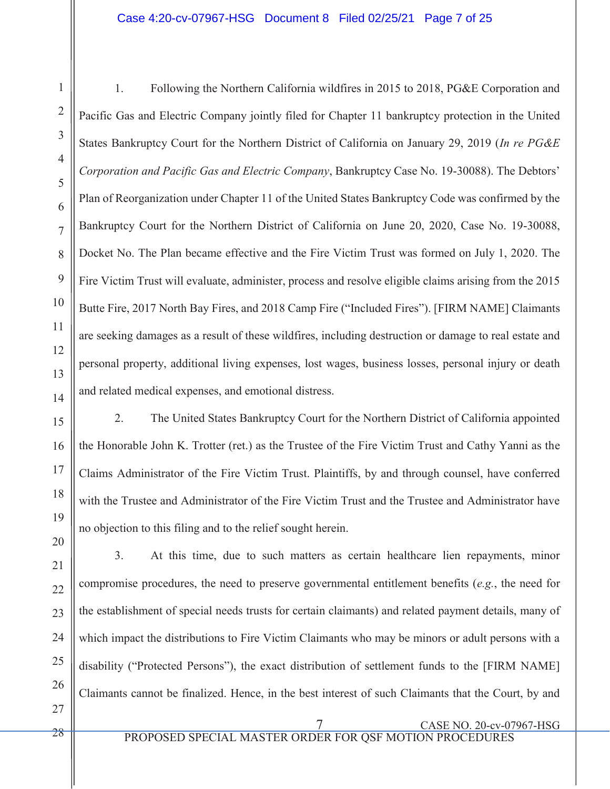1. Following the Northern California wildfires in 2015 to 2018, PG&E Corporation and Pacific Gas and Electric Company jointly filed for Chapter 11 bankruptcy protection in the United States Bankruptcy Court for the Northern District of California on January 29, 2019 (*In re PG&E Corporation and Pacific Gas and Electric Company*, Bankruptcy Case No. 19-30088). The Debtors' Plan of Reorganization under Chapter 11 of the United States Bankruptcy Code was confirmed by the Bankruptcy Court for the Northern District of California on June 20, 2020, Case No. 19-30088, Docket No. The Plan became effective and the Fire Victim Trust was formed on July 1, 2020. The Fire Victim Trust will evaluate, administer, process and resolve eligible claims arising from the 2015 Butte Fire, 2017 North Bay Fires, and 2018 Camp Fire ("Included Fires"). [FIRM NAME] Claimants are seeking damages as a result of these wildfires, including destruction or damage to real estate and personal property, additional living expenses, lost wages, business losses, personal injury or death and related medical expenses, and emotional distress.

15 16 17 18 19 20 2. The United States Bankruptcy Court for the Northern District of California appointed the Honorable John K. Trotter (ret.) as the Trustee of the Fire Victim Trust and Cathy Yanni as the Claims Administrator of the Fire Victim Trust. Plaintiffs, by and through counsel, have conferred with the Trustee and Administrator of the Fire Victim Trust and the Trustee and Administrator have no objection to this filing and to the relief sought herein.

3. At this time, due to such matters as certain healthcare lien repayments, minor compromise procedures, the need to preserve governmental entitlement benefits (*e.g.*, the need for the establishment of special needs trusts for certain claimants) and related payment details, many of which impact the distributions to Fire Victim Claimants who may be minors or adult persons with a disability ("Protected Persons"), the exact distribution of settlement funds to the [FIRM NAME] Claimants cannot be finalized. Hence, in the best interest of such Claimants that the Court, by and

27

21

 $22$ 

23

24

25

26

1

2

3

4

5

6

7

8

9

10

11

12

13

14

7 CASE NO. 20-cv-07967-HSG

PROPOSED SPECIAL MASTER ORDER FOR QSF MOTION PROCEDURES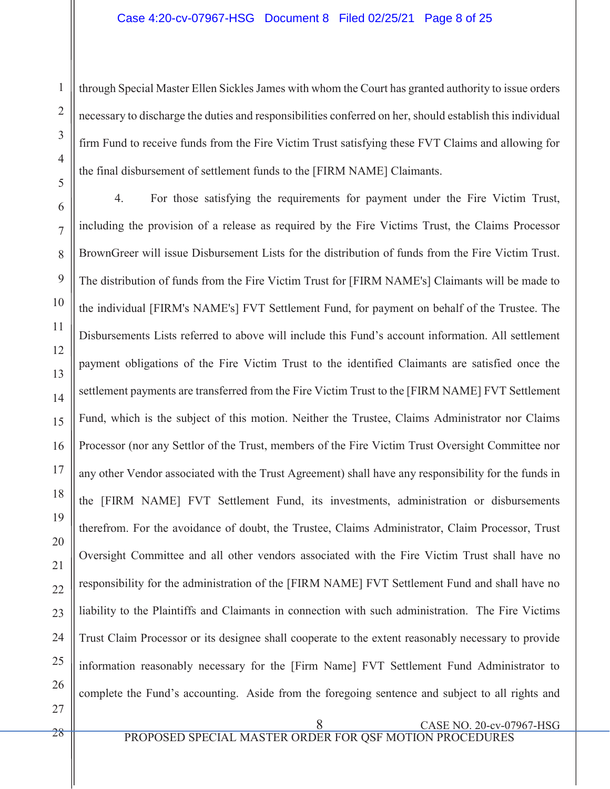through Special Master Ellen Sickles James with whom the Court has granted authority to issue orders necessary to discharge the duties and responsibilities conferred on her, should establish this individual firm Fund to receive funds from the Fire Victim Trust satisfying these FVT Claims and allowing for the final disbursement of settlement funds to the [FIRM NAME] Claimants.

6 7 8 9 10 11 12 13 14 15 16 4. For those satisfying the requirements for payment under the Fire Victim Trust, including the provision of a release as required by the Fire Victims Trust, the Claims Processor BrownGreer will issue Disbursement Lists for the distribution of funds from the Fire Victim Trust. The distribution of funds from the Fire Victim Trust for [FIRM NAME's] Claimants will be made to the individual [FIRM's NAME's] FVT Settlement Fund, for payment on behalf of the Trustee. The Disbursements Lists referred to above will include this Fund's account information. All settlement payment obligations of the Fire Victim Trust to the identified Claimants are satisfied once the settlement payments are transferred from the Fire Victim Trust to the [FIRM NAME] FVT Settlement Fund, which is the subject of this motion. Neither the Trustee, Claims Administrator nor Claims Processor (nor any Settlor of the Trust, members of the Fire Victim Trust Oversight Committee nor any other Vendor associated with the Trust Agreement) shall have any responsibility for the funds in the [FIRM NAME] FVT Settlement Fund, its investments, administration or disbursements therefrom. For the avoidance of doubt, the Trustee, Claims Administrator, Claim Processor, Trust Oversight Committee and all other vendors associated with the Fire Victim Trust shall have no responsibility for the administration of the [FIRM NAME] FVT Settlement Fund and shall have no liability to the Plaintiffs and Claimants in connection with such administration. The Fire Victims Trust Claim Processor or its designee shall cooperate to the extent reasonably necessary to provide information reasonably necessary for the [Firm Name] FVT Settlement Fund Administrator to complete the Fund's accounting. Aside from the foregoing sentence and subject to all rights and

1

2

3

4

5

 $8$  CASE NO. 20-cv-07967-HSG PROPOSED SPECIAL MASTER ORDER FOR QSF MOTION PROCEDURES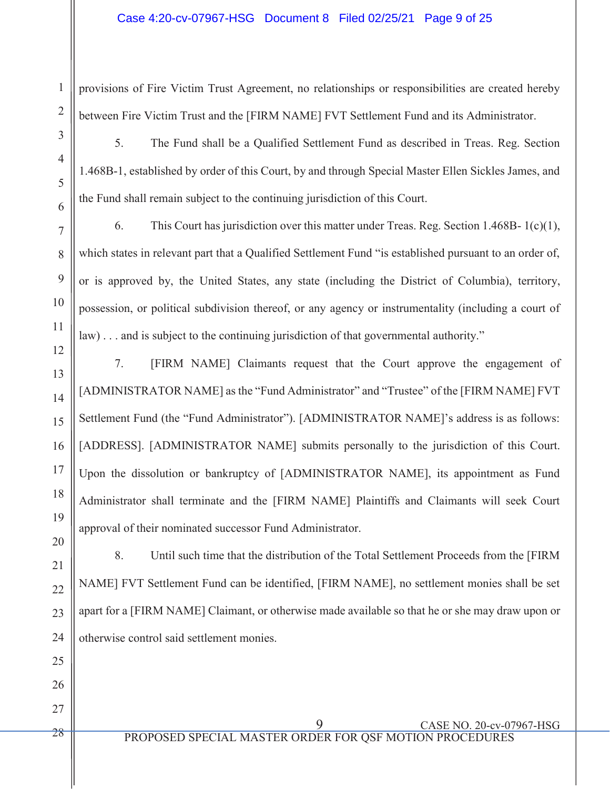# Case 4:20-cv-07967-HSG Document 8 Filed 02/25/21 Page 9 of 25

provisions of Fire Victim Trust Agreement, no relationships or responsibilities are created hereby between Fire Victim Trust and the [FIRM NAME] FVT Settlement Fund and its Administrator.

1

2

3

5. The Fund shall be a Qualified Settlement Fund as described in Treas. Reg. Section 1.468B-1, established by order of this Court, by and through Special Master Ellen Sickles James, and the Fund shall remain subject to the continuing jurisdiction of this Court.

6. This Court has jurisdiction over this matter under Treas. Reg. Section 1.468B- 1(c)(1), which states in relevant part that a Qualified Settlement Fund "is established pursuant to an order of, or is approved by, the United States, any state (including the District of Columbia), territory, possession, or political subdivision thereof, or any agency or instrumentality (including a court of law)... and is subject to the continuing jurisdiction of that governmental authority."

7. [FIRM NAME] Claimants request that the Court approve the engagement of [ADMINISTRATOR NAME] as the "Fund Administrator" and "Trustee" of the [FIRM NAME] FVT Settlement Fund (the "Fund Administrator"). [ADMINISTRATOR NAME]'s address is as follows: [ADDRESS]. [ADMINISTRATOR NAME] submits personally to the jurisdiction of this Court. Upon the dissolution or bankruptcy of [ADMINISTRATOR NAME], its appointment as Fund Administrator shall terminate and the [FIRM NAME] Plaintiffs and Claimants will seek Court approval of their nominated successor Fund Administrator.

8. Until such time that the distribution of the Total Settlement Proceeds from the [FIRM NAME] FVT Settlement Fund can be identified, [FIRM NAME], no settlement monies shall be set apart for a [FIRM NAME] Claimant, or otherwise made available so that he or she may draw upon or otherwise control said settlement monies.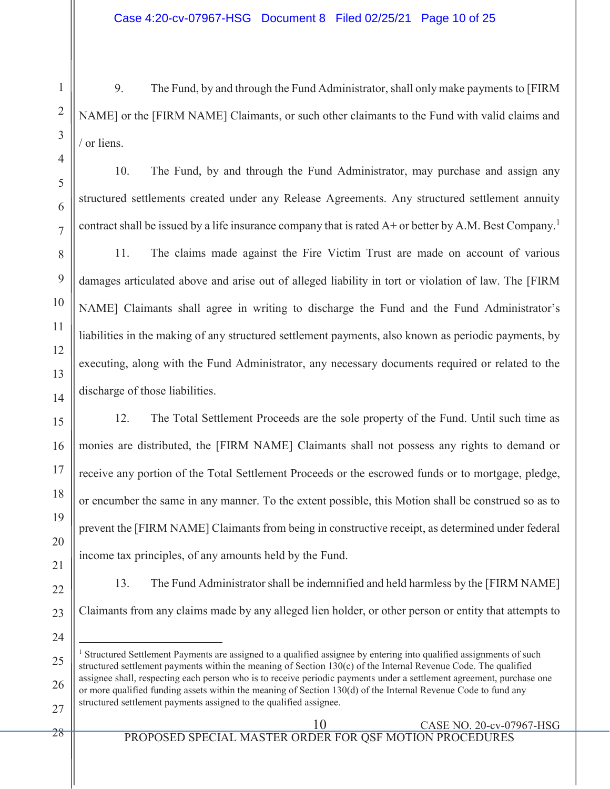9. The Fund, by and through the Fund Administrator, shall only make payments to [FIRM NAME] or the [FIRM NAME] Claimants, or such other claimants to the Fund with valid claims and / or liens.

10. The Fund, by and through the Fund Administrator, may purchase and assign any structured settlements created under any Release Agreements. Any structured settlement annuity contract shall be issued by a life insurance company that is rated  $A<sup>+</sup>$  or better by A.M. Best Company.<sup>1</sup>

11. The claims made against the Fire Victim Trust are made on account of various damages articulated above and arise out of alleged liability in tort or violation of law. The [FIRM NAME] Claimants shall agree in writing to discharge the Fund and the Fund Administrator's liabilities in the making of any structured settlement payments, also known as periodic payments, by executing, along with the Fund Administrator, any necessary documents required or related to the discharge of those liabilities.

12. The Total Settlement Proceeds are the sole property of the Fund. Until such time as monies are distributed, the [FIRM NAME] Claimants shall not possess any rights to demand or receive any portion of the Total Settlement Proceeds or the escrowed funds or to mortgage, pledge, or encumber the same in any manner. To the extent possible, this Motion shall be construed so as to prevent the [FIRM NAME] Claimants from being in constructive receipt, as determined under federal income tax principles, of any amounts held by the Fund.

- 13. The Fund Administrator shall be indemnified and held harmless by the [FIRM NAME] Claimants from any claims made by any alleged lien holder, or other person or entity that attempts to
- 24

1

2

3

4

5

6

7

8

9

10

11

12

13

14

15

16

17

18

19

 $\overline{a}$ <sup>1</sup> Structured Settlement Payments are assigned to a qualified assignee by entering into qualified assignments of such structured settlement payments within the meaning of Section 130(c) of the Internal Revenue Code. The qualified assignee shall, respecting each person who is to receive periodic payments under a settlement agreement, purchase one or more qualified funding assets within the meaning of Section 130(d) of the Internal Revenue Code to fund any structured settlement payments assigned to the qualified assignee.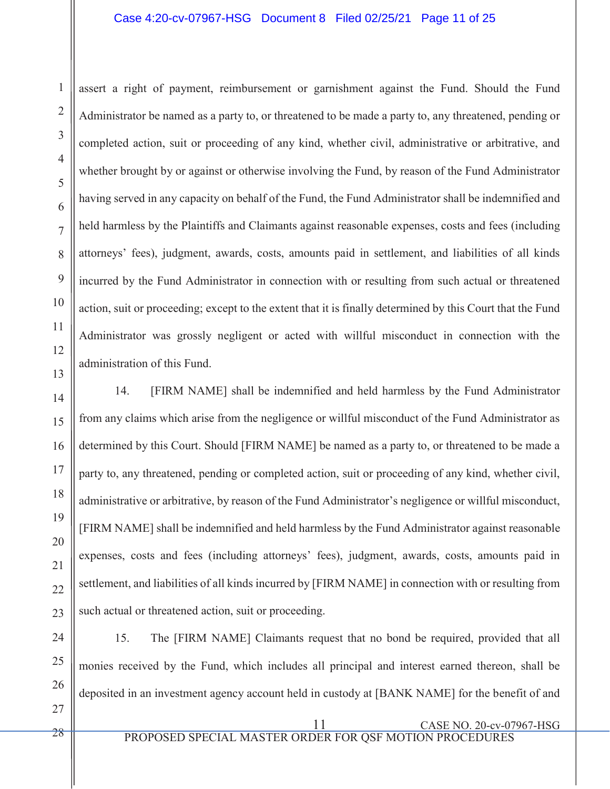### Case 4:20-cv-07967-HSG Document 8 Filed 02/25/21 Page 11 of 25

assert a right of payment, reimbursement or garnishment against the Fund. Should the Fund Administrator be named as a party to, or threatened to be made a party to, any threatened, pending or completed action, suit or proceeding of any kind, whether civil, administrative or arbitrative, and whether brought by or against or otherwise involving the Fund, by reason of the Fund Administrator having served in any capacity on behalf of the Fund, the Fund Administrator shall be indemnified and held harmless by the Plaintiffs and Claimants against reasonable expenses, costs and fees (including attorneys' fees), judgment, awards, costs, amounts paid in settlement, and liabilities of all kinds incurred by the Fund Administrator in connection with or resulting from such actual or threatened action, suit or proceeding; except to the extent that it is finally determined by this Court that the Fund Administrator was grossly negligent or acted with willful misconduct in connection with the administration of this Fund.

14 15 16 17 18 19 20 21  $22$ 23 14. [FIRM NAME] shall be indemnified and held harmless by the Fund Administrator from any claims which arise from the negligence or willful misconduct of the Fund Administrator as determined by this Court. Should [FIRM NAME] be named as a party to, or threatened to be made a party to, any threatened, pending or completed action, suit or proceeding of any kind, whether civil, administrative or arbitrative, by reason of the Fund Administrator's negligence or willful misconduct, [FIRM NAME] shall be indemnified and held harmless by the Fund Administrator against reasonable expenses, costs and fees (including attorneys' fees), judgment, awards, costs, amounts paid in settlement, and liabilities of all kinds incurred by [FIRM NAME] in connection with or resulting from such actual or threatened action, suit or proceeding.

15. The [FIRM NAME] Claimants request that no bond be required, provided that all monies received by the Fund, which includes all principal and interest earned thereon, shall be deposited in an investment agency account held in custody at [BANK NAME] for the benefit of and

24

25

1

2

3

4

5

6

7

8

9

10

11

12

13

11 CASE NO. 20-cv-07967-HSG

PROPOSED SPECIAL MASTER ORDER FOR QSF MOTION PROCEDURES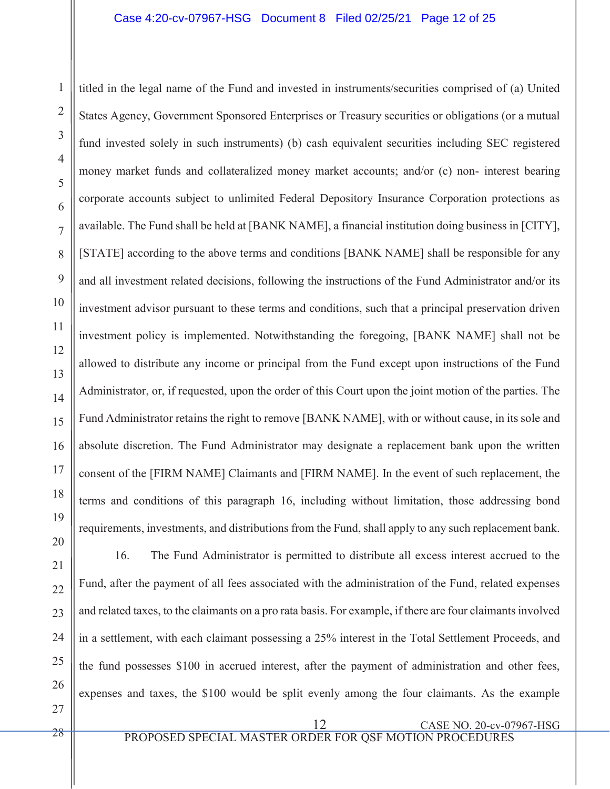titled in the legal name of the Fund and invested in instruments/securities comprised of (a) United States Agency, Government Sponsored Enterprises or Treasury securities or obligations (or a mutual fund invested solely in such instruments) (b) cash equivalent securities including SEC registered money market funds and collateralized money market accounts; and/or (c) non- interest bearing corporate accounts subject to unlimited Federal Depository Insurance Corporation protections as available. The Fund shall be held at [BANK NAME], a financial institution doing business in [CITY], [STATE] according to the above terms and conditions [BANK NAME] shall be responsible for any and all investment related decisions, following the instructions of the Fund Administrator and/or its investment advisor pursuant to these terms and conditions, such that a principal preservation driven investment policy is implemented. Notwithstanding the foregoing, [BANK NAME] shall not be allowed to distribute any income or principal from the Fund except upon instructions of the Fund Administrator, or, if requested, upon the order of this Court upon the joint motion of the parties. The Fund Administrator retains the right to remove [BANK NAME], with or without cause, in its sole and absolute discretion. The Fund Administrator may designate a replacement bank upon the written consent of the [FIRM NAME] Claimants and [FIRM NAME]. In the event of such replacement, the terms and conditions of this paragraph 16, including without limitation, those addressing bond requirements, investments, and distributions from the Fund, shall apply to any such replacement bank.

1

2

3

4

5

6

7

8

9

10

11

12

13

14

15

16

17

18

16. The Fund Administrator is permitted to distribute all excess interest accrued to the Fund, after the payment of all fees associated with the administration of the Fund, related expenses and related taxes, to the claimants on a pro rata basis. For example, if there are four claimants involved in a settlement, with each claimant possessing a 25% interest in the Total Settlement Proceeds, and the fund possesses \$100 in accrued interest, after the payment of administration and other fees, expenses and taxes, the \$100 would be split evenly among the four claimants. As the example

 12 CASE NO. 20-cv-07967-HSG PROPOSED SPECIAL MASTER ORDER FOR QSF MOTION PROCEDURES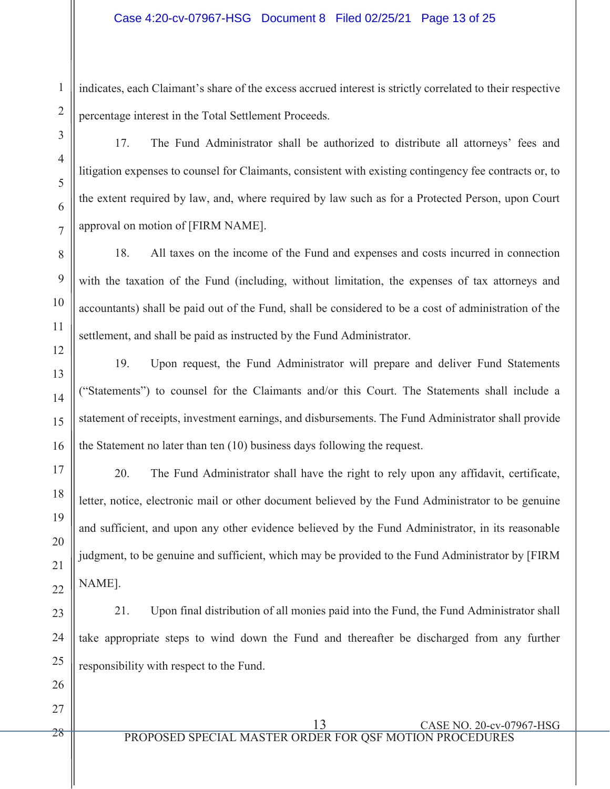indicates, each Claimant's share of the excess accrued interest is strictly correlated to their respective percentage interest in the Total Settlement Proceeds.

17. The Fund Administrator shall be authorized to distribute all attorneys' fees and litigation expenses to counsel for Claimants, consistent with existing contingency fee contracts or, to the extent required by law, and, where required by law such as for a Protected Person, upon Court approval on motion of [FIRM NAME].

18. All taxes on the income of the Fund and expenses and costs incurred in connection with the taxation of the Fund (including, without limitation, the expenses of tax attorneys and accountants) shall be paid out of the Fund, shall be considered to be a cost of administration of the settlement, and shall be paid as instructed by the Fund Administrator.

19. Upon request, the Fund Administrator will prepare and deliver Fund Statements ("Statements") to counsel for the Claimants and/or this Court. The Statements shall include a statement of receipts, investment earnings, and disbursements. The Fund Administrator shall provide the Statement no later than ten (10) business days following the request.

20. The Fund Administrator shall have the right to rely upon any affidavit, certificate, letter, notice, electronic mail or other document believed by the Fund Administrator to be genuine and sufficient, and upon any other evidence believed by the Fund Administrator, in its reasonable judgment, to be genuine and sufficient, which may be provided to the Fund Administrator by [FIRM NAME].

21. Upon final distribution of all monies paid into the Fund, the Fund Administrator shall take appropriate steps to wind down the Fund and thereafter be discharged from any further responsibility with respect to the Fund.

 13 CASE NO. 20-cv-07967-HSG PROPOSED SPECIAL MASTER ORDER FOR QSF MOTION PROCEDURES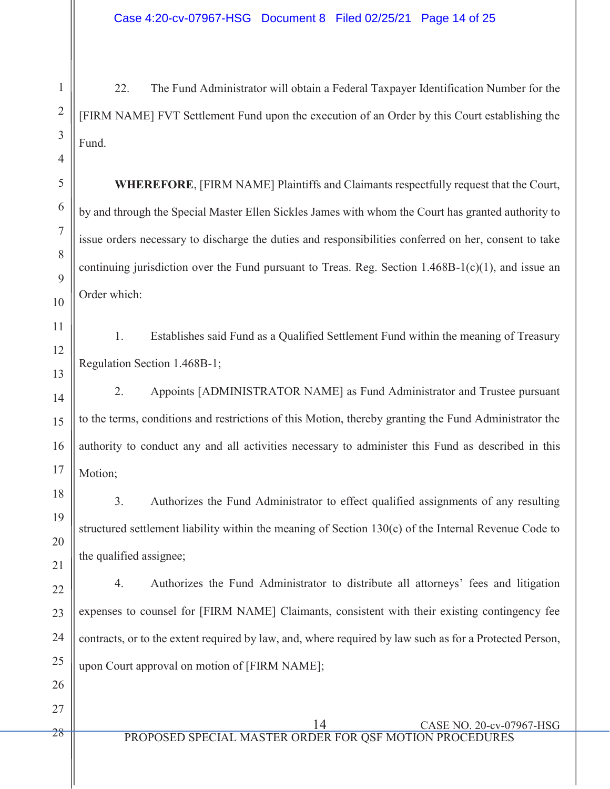22. The Fund Administrator will obtain a Federal Taxpayer Identification Number for the [FIRM NAME] FVT Settlement Fund upon the execution of an Order by this Court establishing the Fund.

**WHEREFORE**, [FIRM NAME] Plaintiffs and Claimants respectfully request that the Court, by and through the Special Master Ellen Sickles James with whom the Court has granted authority to issue orders necessary to discharge the duties and responsibilities conferred on her, consent to take continuing jurisdiction over the Fund pursuant to Treas. Reg. Section 1.468B-1(c)(1), and issue an Order which:

1. Establishes said Fund as a Qualified Settlement Fund within the meaning of Treasury Regulation Section 1.468B-1;

2. Appoints [ADMINISTRATOR NAME] as Fund Administrator and Trustee pursuant to the terms, conditions and restrictions of this Motion, thereby granting the Fund Administrator the authority to conduct any and all activities necessary to administer this Fund as described in this Motion:

3. Authorizes the Fund Administrator to effect qualified assignments of any resulting structured settlement liability within the meaning of Section 130(c) of the Internal Revenue Code to the qualified assignee;

4. Authorizes the Fund Administrator to distribute all attorneys' fees and litigation expenses to counsel for [FIRM NAME] Claimants, consistent with their existing contingency fee contracts, or to the extent required by law, and, where required by law such as for a Protected Person, upon Court approval on motion of [FIRM NAME];

1

2

 14 CASE NO. 20-cv-07967-HSG PROPOSED SPECIAL MASTER ORDER FOR OSF MOTION PROCEDU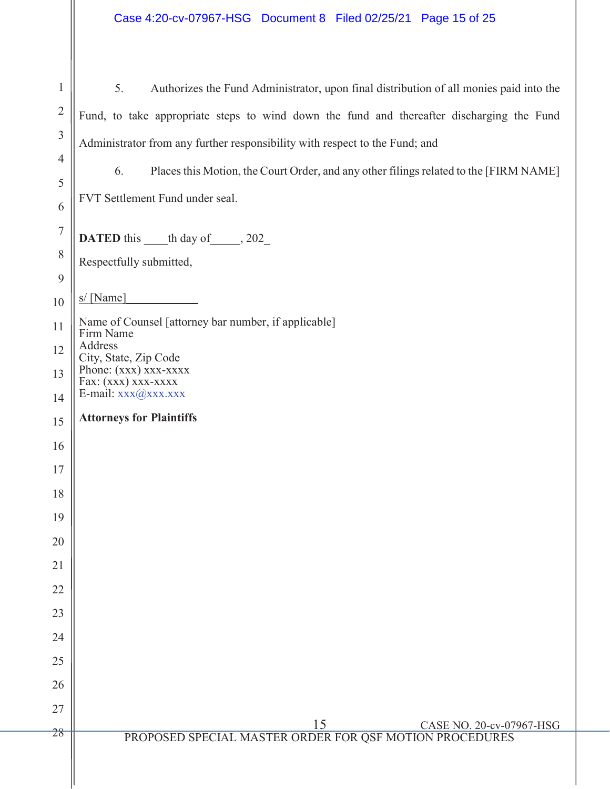| $\mathbf{1}$        | Authorizes the Fund Administrator, upon final distribution of all monies paid into the<br>5. |
|---------------------|----------------------------------------------------------------------------------------------|
| $\overline{2}$      | Fund, to take appropriate steps to wind down the fund and thereafter discharging the Fund    |
| 3                   | Administrator from any further responsibility with respect to the Fund; and                  |
| $\overline{4}$      | Places this Motion, the Court Order, and any other filings related to the [FIRM NAME]<br>6.  |
| 5                   | FVT Settlement Fund under seal.                                                              |
| 6<br>$\overline{7}$ |                                                                                              |
| 8                   | <b>DATED</b> this the day of 202                                                             |
| 9                   | Respectfully submitted,                                                                      |
| 10                  | s/[Name]                                                                                     |
| 11                  | Name of Counsel [attorney bar number, if applicable]<br>Firm Name                            |
| 12                  | Address<br>City, State, Zip Code                                                             |
| 13                  | Phone: (xxx) xxx-xxxx<br>Fax: (xxx) xxx-xxxx                                                 |
| 14                  | E-mail: $xxx$ ( $@xx$ x.xxxx<br><b>Attorneys for Plaintiffs</b>                              |
| 15                  |                                                                                              |
| 16<br>17            |                                                                                              |
| 18                  |                                                                                              |
| 19                  |                                                                                              |
| 20                  |                                                                                              |
| 21                  |                                                                                              |
| 22                  |                                                                                              |
| 23                  |                                                                                              |
| 24                  |                                                                                              |
| 25                  |                                                                                              |
| 26                  |                                                                                              |
| 27                  | $\frac{15}{\text{PROPOSED SPECIAL MASTER ORDER FOR QSF MOTION PROCEDURES}}$                  |
| 28                  |                                                                                              |
|                     |                                                                                              |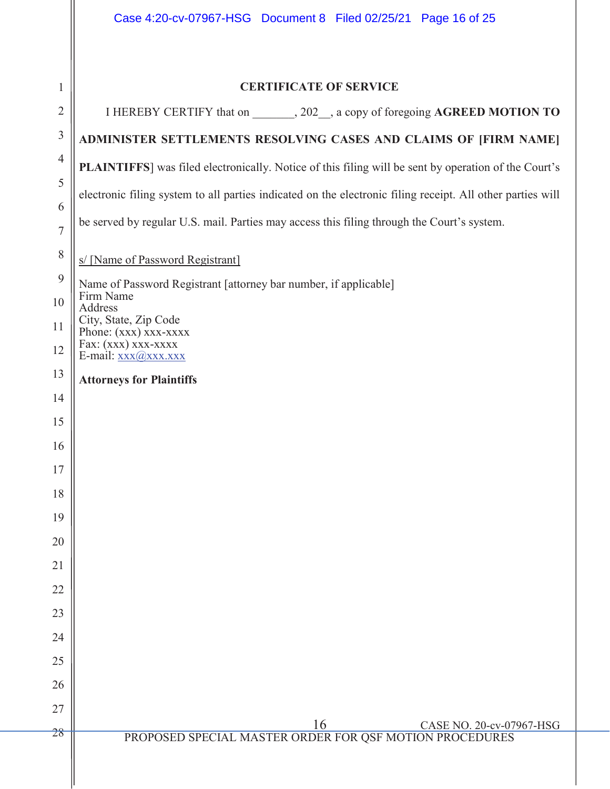|                | Case 4:20-cv-07967-HSG Document 8 Filed 02/25/21 Page 16 of 25                                             |
|----------------|------------------------------------------------------------------------------------------------------------|
|                |                                                                                                            |
| 1              | <b>CERTIFICATE OF SERVICE</b>                                                                              |
| $\overline{2}$ | I HEREBY CERTIFY that on _______, 202__, a copy of foregoing AGREED MOTION TO                              |
| $\mathfrak{Z}$ | ADMINISTER SETTLEMENTS RESOLVING CASES AND CLAIMS OF [FIRM NAME]                                           |
| $\overline{4}$ | PLAINTIFFS] was filed electronically. Notice of this filing will be sent by operation of the Court's       |
| 5              | electronic filing system to all parties indicated on the electronic filing receipt. All other parties will |
| 6              | be served by regular U.S. mail. Parties may access this filing through the Court's system.                 |
| $\overline{7}$ |                                                                                                            |
| $8\,$          | s/ [Name of Password Registrant]                                                                           |
| 9              | Name of Password Registrant [attorney bar number, if applicable]<br>Firm Name                              |
| 10             | Address<br>City, State, Zip Code                                                                           |
| 11             | Phone: (xxx) xxx-xxxx<br>Fax: (xxx) xxx-xxxx                                                               |
| 12             | E-mail: xxx@xxx.xxx                                                                                        |
| 13<br>14       | <b>Attorneys for Plaintiffs</b>                                                                            |
| 15             |                                                                                                            |
| 16             |                                                                                                            |
| 17             |                                                                                                            |
| 18             |                                                                                                            |
| 19             |                                                                                                            |
| 20             |                                                                                                            |
| 21             |                                                                                                            |
| 22             |                                                                                                            |
| 23             |                                                                                                            |
| 24             |                                                                                                            |
| 25             |                                                                                                            |
| 26             |                                                                                                            |
| 27             |                                                                                                            |
| 28             | $\frac{16}{\text{PROPOSED SPECIAL MASTER ORDER FOR QSF MOTION PROCEDURES}}$                                |
|                |                                                                                                            |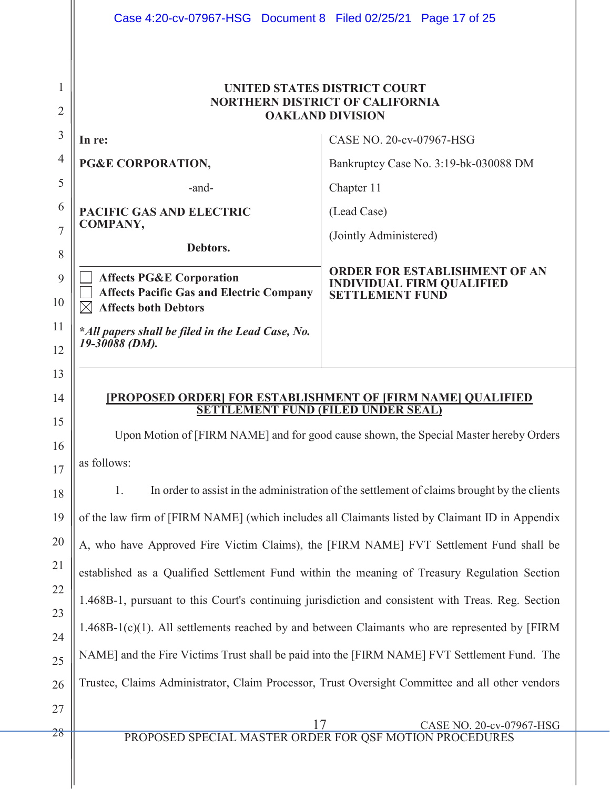|                                  | Case 4:20-cv-07967-HSG Document 8 Filed 02/25/21 Page 17 of 25                 |                                                                                                                                                                                                                                                                                                                                                                                                    |
|----------------------------------|--------------------------------------------------------------------------------|----------------------------------------------------------------------------------------------------------------------------------------------------------------------------------------------------------------------------------------------------------------------------------------------------------------------------------------------------------------------------------------------------|
| 1<br>2                           |                                                                                | <b>UNITED STATES DISTRICT COURT</b><br>NORTHERN DISTRICT OF CALIFORNIA<br><b>OAKLAND DIVISION</b>                                                                                                                                                                                                                                                                                                  |
| 3                                | In re:                                                                         | CASE NO. 20-cv-07967-HSG                                                                                                                                                                                                                                                                                                                                                                           |
| $\overline{4}$                   | PG&E CORPORATION,                                                              | Bankruptcy Case No. 3:19-bk-030088 DM                                                                                                                                                                                                                                                                                                                                                              |
| 5                                | -and-                                                                          | Chapter 11                                                                                                                                                                                                                                                                                                                                                                                         |
| 6                                | <b>PACIFIC GAS AND ELECTRIC</b>                                                | (Lead Case)                                                                                                                                                                                                                                                                                                                                                                                        |
| $\overline{7}$                   | <b>COMPANY,</b>                                                                | (Jointly Administered)                                                                                                                                                                                                                                                                                                                                                                             |
| 8                                | Debtors.                                                                       |                                                                                                                                                                                                                                                                                                                                                                                                    |
| 9                                | <b>Affects PG&amp;E Corporation</b>                                            | <b>ORDER FOR ESTABLISHMENT OF AN</b><br><b>INDIVIDUAL FIRM QUALIFIED</b>                                                                                                                                                                                                                                                                                                                           |
| 10                               | <b>Affects Pacific Gas and Electric Company</b><br><b>Affects both Debtors</b> | <b>SETTLEMENT FUND</b>                                                                                                                                                                                                                                                                                                                                                                             |
| 11<br>12                         | *All papers shall be filed in the Lead Case, No.<br>19-30088 (DM).             |                                                                                                                                                                                                                                                                                                                                                                                                    |
| 13                               |                                                                                |                                                                                                                                                                                                                                                                                                                                                                                                    |
| 14<br>15<br>16<br>17<br>18<br>19 | as follows:<br>1.                                                              | [PROPOSED ORDER] FOR ESTABLISHMENT OF [FIRM NAME] QUALIFIED<br><b>SETTLEMENT FUND (FILED UNDER SEAL)</b><br>Upon Motion of [FIRM NAME] and for good cause shown, the Special Master hereby Orders<br>In order to assist in the administration of the settlement of claims brought by the clients<br>of the law firm of [FIRM NAME] (which includes all Claimants listed by Claimant ID in Appendix |
| 20                               |                                                                                | A, who have Approved Fire Victim Claims), the [FIRM NAME] FVT Settlement Fund shall be                                                                                                                                                                                                                                                                                                             |
|                                  |                                                                                | established as a Qualified Settlement Fund within the meaning of Treasury Regulation Section                                                                                                                                                                                                                                                                                                       |
| 21<br>22                         |                                                                                | 1.468B-1, pursuant to this Court's continuing jurisdiction and consistent with Treas. Reg. Section                                                                                                                                                                                                                                                                                                 |
| 23                               |                                                                                | $1.468B-1(c)(1)$ . All settlements reached by and between Claimants who are represented by [FIRM                                                                                                                                                                                                                                                                                                   |
| 24<br>25                         |                                                                                | NAME] and the Fire Victims Trust shall be paid into the [FIRM NAME] FVT Settlement Fund. The                                                                                                                                                                                                                                                                                                       |
| 26                               |                                                                                | Trustee, Claims Administrator, Claim Processor, Trust Oversight Committee and all other vendors                                                                                                                                                                                                                                                                                                    |
| 27                               |                                                                                |                                                                                                                                                                                                                                                                                                                                                                                                    |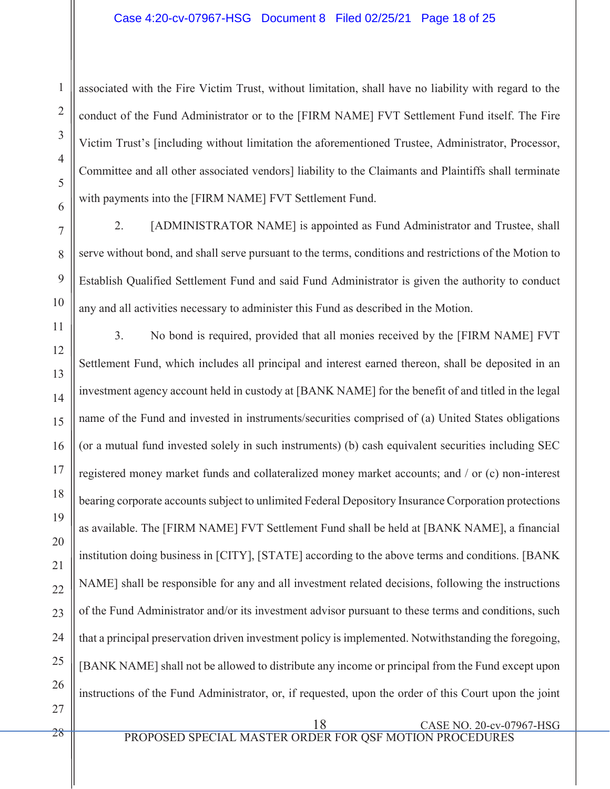associated with the Fire Victim Trust, without limitation, shall have no liability with regard to the conduct of the Fund Administrator or to the [FIRM NAME] FVT Settlement Fund itself. The Fire Victim Trust's [including without limitation the aforementioned Trustee, Administrator, Processor, Committee and all other associated vendors] liability to the Claimants and Plaintiffs shall terminate with payments into the [FIRM NAME] FVT Settlement Fund.

2. [ADMINISTRATOR NAME] is appointed as Fund Administrator and Trustee, shall serve without bond, and shall serve pursuant to the terms, conditions and restrictions of the Motion to Establish Qualified Settlement Fund and said Fund Administrator is given the authority to conduct any and all activities necessary to administer this Fund as described in the Motion.

11 12 13 14 15 16 17 18 19 20 21 22 23 24 25 26 3. No bond is required, provided that all monies received by the [FIRM NAME] FVT Settlement Fund, which includes all principal and interest earned thereon, shall be deposited in an investment agency account held in custody at [BANK NAME] for the benefit of and titled in the legal name of the Fund and invested in instruments/securities comprised of (a) United States obligations (or a mutual fund invested solely in such instruments) (b) cash equivalent securities including SEC registered money market funds and collateralized money market accounts; and / or (c) non-interest bearing corporate accounts subject to unlimited Federal Depository Insurance Corporation protections as available. The [FIRM NAME] FVT Settlement Fund shall be held at [BANK NAME], a financial institution doing business in [CITY], [STATE] according to the above terms and conditions. [BANK NAME] shall be responsible for any and all investment related decisions, following the instructions of the Fund Administrator and/or its investment advisor pursuant to these terms and conditions, such that a principal preservation driven investment policy is implemented. Notwithstanding the foregoing, [BANK NAME] shall not be allowed to distribute any income or principal from the Fund except upon instructions of the Fund Administrator, or, if requested, upon the order of this Court upon the joint

27

1

2

3

4

5

6

7

8

9

10

18 CASE NO. 20-cv-07967-HSG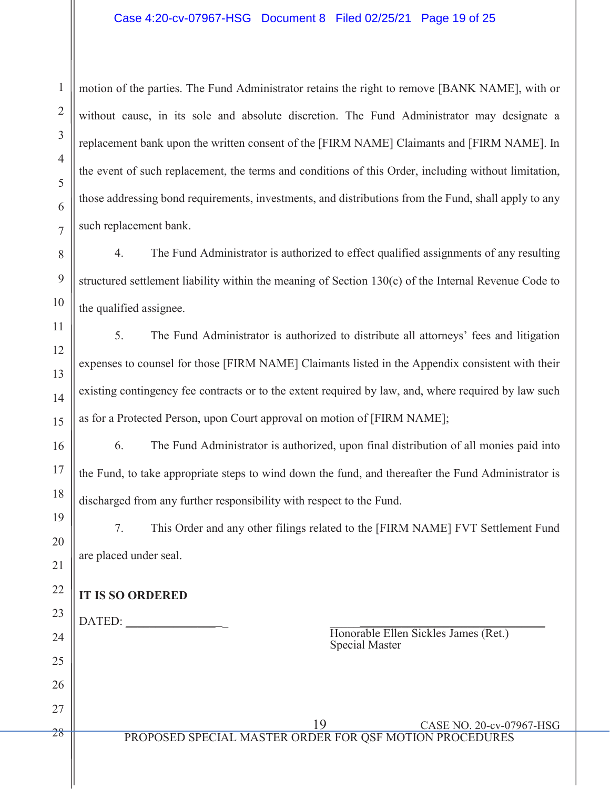## Case 4:20-cv-07967-HSG Document 8 Filed 02/25/21 Page 19 of 25

motion of the parties. The Fund Administrator retains the right to remove [BANK NAME], with or without cause, in its sole and absolute discretion. The Fund Administrator may designate a replacement bank upon the written consent of the [FIRM NAME] Claimants and [FIRM NAME]. In the event of such replacement, the terms and conditions of this Order, including without limitation, those addressing bond requirements, investments, and distributions from the Fund, shall apply to any such replacement bank.

4. The Fund Administrator is authorized to effect qualified assignments of any resulting structured settlement liability within the meaning of Section 130(c) of the Internal Revenue Code to the qualified assignee.

5. The Fund Administrator is authorized to distribute all attorneys' fees and litigation expenses to counsel for those [FIRM NAME] Claimants listed in the Appendix consistent with their existing contingency fee contracts or to the extent required by law, and, where required by law such as for a Protected Person, upon Court approval on motion of [FIRM NAME];

6. The Fund Administrator is authorized, upon final distribution of all monies paid into the Fund, to take appropriate steps to wind down the fund, and thereafter the Fund Administrator is discharged from any further responsibility with respect to the Fund.

7. This Order and any other filings related to the [FIRM NAME] FVT Settlement Fund are placed under seal.

# **IT IS SO ORDERED**

1

2

3

4

5

6

7

8

9

10

11

12

13

14

15

16

17

18

19

20

21

22

26

27

28

23 24 25 DATED:

Honorable Ellen Sickles James (Ret.) Special Master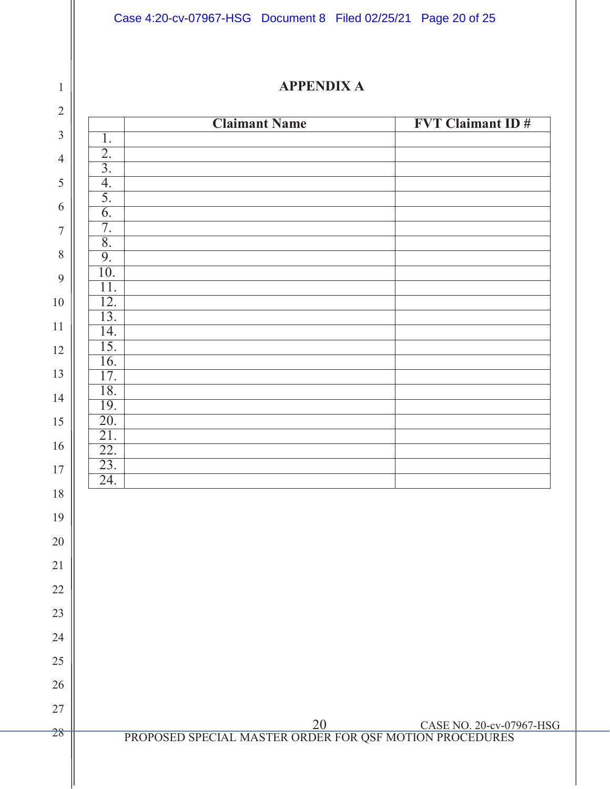Case 4:20-cv-07967-HSG Document 8 Filed 02/25/21 Page 20 of 25

1

# **APPENDIX A**

|                                      | <b>Claimant Name</b>                                                        | <b>FVT Claimant ID#</b> |
|--------------------------------------|-----------------------------------------------------------------------------|-------------------------|
| 1.                                   |                                                                             |                         |
| $\overline{2}$ .<br>$\overline{3}$ . |                                                                             |                         |
| 4.                                   |                                                                             |                         |
| 5.                                   |                                                                             |                         |
| $\overline{6}$ .                     |                                                                             |                         |
| 7.                                   |                                                                             |                         |
| $\overline{8}$ .<br>9.               |                                                                             |                         |
| 10.                                  |                                                                             |                         |
| 11.                                  |                                                                             |                         |
| 12.                                  |                                                                             |                         |
| 13.                                  |                                                                             |                         |
| 14.<br>15.                           |                                                                             |                         |
| 16.                                  |                                                                             |                         |
| 17.                                  |                                                                             |                         |
| 18.                                  |                                                                             |                         |
| 19.<br>20.                           |                                                                             |                         |
| 21.                                  |                                                                             |                         |
| 22.                                  |                                                                             |                         |
| 23.                                  |                                                                             |                         |
| $\overline{24}$ .                    |                                                                             |                         |
|                                      |                                                                             |                         |
|                                      |                                                                             |                         |
|                                      |                                                                             |                         |
|                                      |                                                                             |                         |
|                                      |                                                                             |                         |
|                                      |                                                                             |                         |
|                                      |                                                                             |                         |
|                                      |                                                                             |                         |
|                                      |                                                                             |                         |
|                                      |                                                                             |                         |
|                                      |                                                                             |                         |
|                                      |                                                                             |                         |
|                                      | $\frac{20}{\text{PROPOSED SPECIAL MASTER ORDER FOR QSF MOTION PROCEDURES}}$ |                         |
|                                      |                                                                             |                         |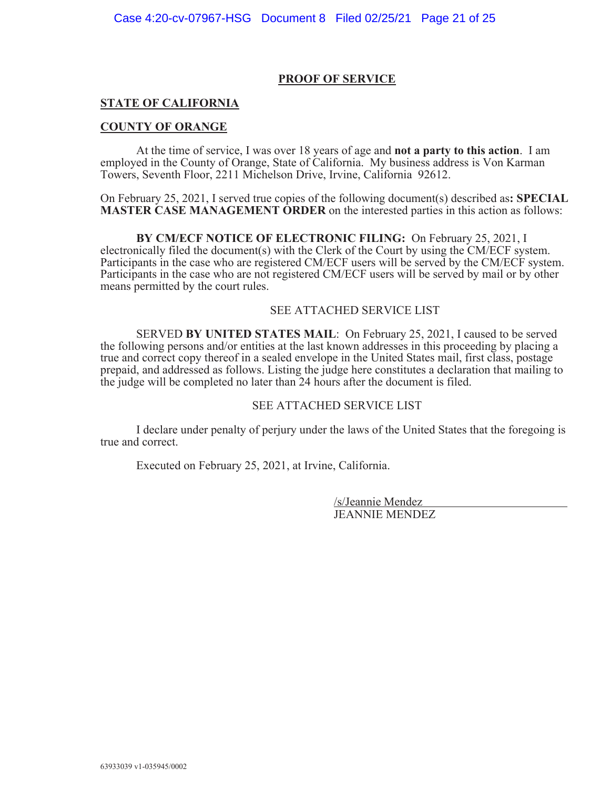### **PROOF OF SERVICE**

## **STATE OF CALIFORNIA**

### **COUNTY OF ORANGE**

At the time of service, I was over 18 years of age and **not a party to this action**. I am employed in the County of Orange, State of California. My business address is Von Karman Towers, Seventh Floor, 2211 Michelson Drive, Irvine, California 92612.

On February 25, 2021, I served true copies of the following document(s) described as**: SPECIAL MASTER CASE MANAGEMENT ORDER** on the interested parties in this action as follows:

**BY CM/ECF NOTICE OF ELECTRONIC FILING:** On February 25, 2021, I electronically filed the document(s) with the Clerk of the Court by using the CM/ECF system. Participants in the case who are registered CM/ECF users will be served by the CM/ECF system. Participants in the case who are not registered CM/ECF users will be served by mail or by other means permitted by the court rules.

### SEE ATTACHED SERVICE LIST

SERVED **BY UNITED STATES MAIL**: On February 25, 2021, I caused to be served the following persons and/or entities at the last known addresses in this proceeding by placing a true and correct copy thereof in a sealed envelope in the United States mail, first class, postage prepaid, and addressed as follows. Listing the judge here constitutes a declaration that mailing to the judge will be completed no later than 24 hours after the document is filed.

### SEE ATTACHED SERVICE LIST

I declare under penalty of perjury under the laws of the United States that the foregoing is true and correct.

Executed on February 25, 2021, at Irvine, California.

 /s/Jeannie Mendez JEANNIE MENDEZ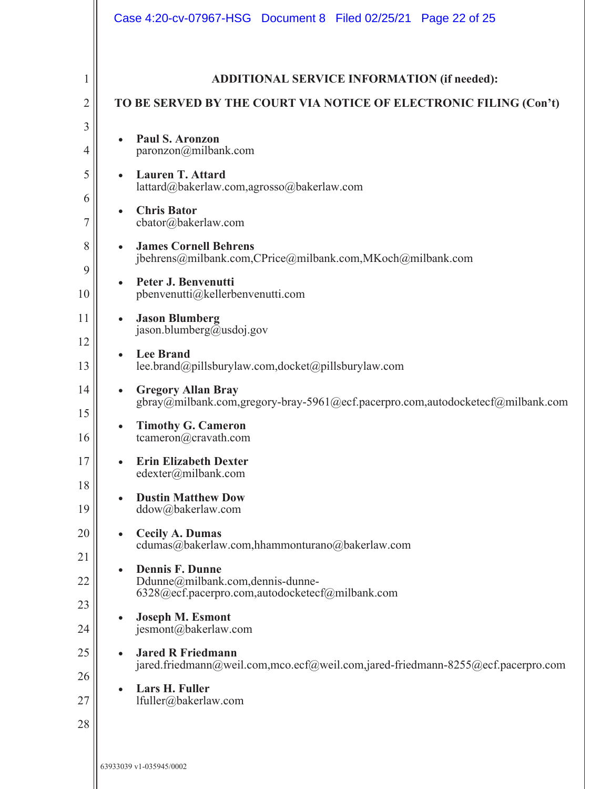|                            | Case 4:20-cv-07967-HSG  Document 8  Filed 02/25/21  Page 22 of 25                                                                                                                                                                                                                   |
|----------------------------|-------------------------------------------------------------------------------------------------------------------------------------------------------------------------------------------------------------------------------------------------------------------------------------|
| 1<br>2<br>3<br>4<br>5      | <b>ADDITIONAL SERVICE INFORMATION (if needed):</b><br>TO BE SERVED BY THE COURT VIA NOTICE OF ELECTRONIC FILING (Con't)<br><b>Paul S. Aronzon</b><br>$\bullet$<br>paronzon@milbank.com<br><b>Lauren T. Attard</b><br>$\bullet$                                                      |
| 6<br>7<br>8<br>9           | lattard@bakerlaw.com,agrosso@bakerlaw.com<br><b>Chris Bator</b><br>$\bullet$<br>cbator@bakerlaw.com<br><b>James Cornell Behrens</b><br>$\bullet$<br>jbehrens@milbank.com,CPrice@milbank.com,MKoch@milbank.com<br>Peter J. Benvenutti<br>$\bullet$                                   |
| 10<br>11<br>12<br>13<br>14 | pbenvenutti@kellerbenvenutti.com<br><b>Jason Blumberg</b><br>$\bullet$<br>jason.blumberg@usdoj.gov<br><b>Lee Brand</b><br>$\bullet$<br>lee.brand@pillsburylaw.com,docket@pillsburylaw.com<br><b>Gregory Allan Bray</b><br>$\bullet$                                                 |
| 15<br>16<br>17<br>18<br>19 | gbray@milbank.com,gregory-bray-5961@ecf.pacerpro.com,autodocketecf@milbank.com<br><b>Timothy G. Cameron</b><br>$\bullet$<br>tcameron@cravath.com<br><b>Erin Elizabeth Dexter</b><br>edexter@milbank.com<br><b>Dustin Matthew Dow</b><br>$\bullet$<br>ddow@bakerlaw.com              |
| 20<br>21<br>22<br>23<br>24 | <b>Cecily A. Dumas</b><br>$\bullet$<br>cdumas@bakerlaw.com,hhammonturano@bakerlaw.com<br><b>Dennis F. Dunne</b><br>$\bullet$<br>Ddunne@milbank.com,dennis-dunne-<br>6328@ecf.pacerpro.com,autodocketecf@milbank.com<br><b>Joseph M. Esmont</b><br>$\bullet$<br>jesmont@bakerlaw.com |
| 25<br>26<br>27<br>28       | <b>Jared R Friedmann</b><br>$\bullet$<br>jared.friedmann@weil.com,mco.ecf@weil.com,jared-friedmann-8255@ecf.pacerpro.com<br>Lars H. Fuller<br>$\bullet$<br>lfuller@bakerlaw.com                                                                                                     |
|                            | 63933039 v1-035945/0002                                                                                                                                                                                                                                                             |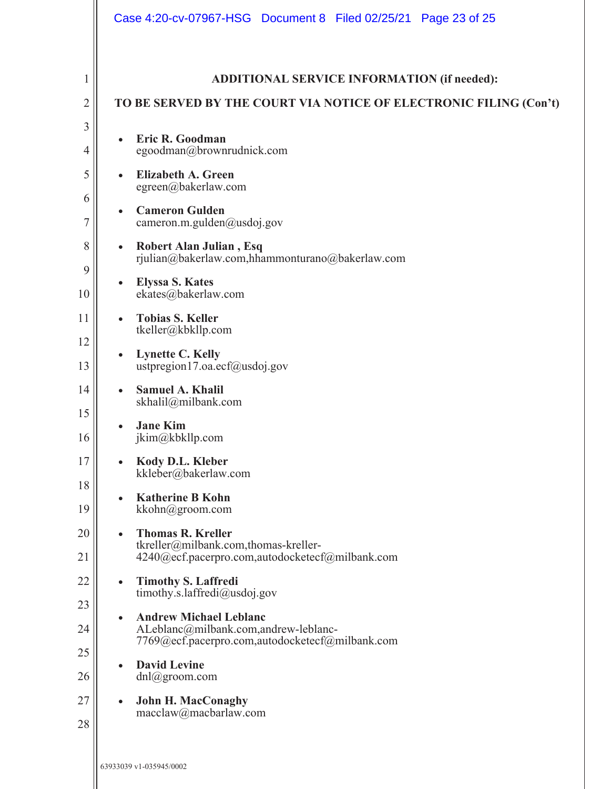|                            | Case 4:20-cv-07967-HSG Document 8 Filed 02/25/21 Page 23 of 25                                                                                                                                                                                                                                              |
|----------------------------|-------------------------------------------------------------------------------------------------------------------------------------------------------------------------------------------------------------------------------------------------------------------------------------------------------------|
| 1<br>2<br>3<br>4<br>5<br>6 | ADDITIONAL SERVICE INFORMATION (if needed):<br>TO BE SERVED BY THE COURT VIA NOTICE OF ELECTRONIC FILING (Con't)<br>Eric R. Goodman<br>$\bullet$<br>egoodman@brownrudnick.com<br><b>Elizabeth A. Green</b><br>$\bullet$<br>egreen@bakerlaw.com                                                              |
| 7<br>8<br>9<br>10<br>11    | <b>Cameron Gulden</b><br>$\bullet$<br>cameron.m.gulden@usdoj.gov<br><b>Robert Alan Julian, Esq</b><br>$\bullet$<br>rjulian@bakerlaw.com,hhammonturano@bakerlaw.com<br><b>Elyssa S. Kates</b><br>$\bullet$<br>ekates@bakerlaw.com<br><b>Tobias S. Keller</b><br>$\bullet$                                    |
| 12<br>13<br>14<br>15       | tkeller@kbkllp.com<br><b>Lynette C. Kelly</b><br>$\bullet$<br>ustpregion17.oa.ecf@usdoj.gov<br><b>Samuel A. Khalil</b><br>$\bullet$<br>skhalil@milbank.com<br><b>Jane Kim</b><br>$\bullet$                                                                                                                  |
| 16<br>17<br>18<br>19<br>20 | jkim@kbkllp.com<br>Kody D.L. Kleber<br>$\bullet$<br>kkleber@bakerlaw.com<br><b>Katherine B Kohn</b><br>$\bullet$<br>kkohn@groom.com<br><b>Thomas R. Kreller</b><br>$\bullet$                                                                                                                                |
| 21<br>22<br>23<br>24<br>25 | tkreller@milbank.com,thomas-kreller-<br>4240@ecf.pacerpro.com,autodocketecf@milbank.com<br><b>Timothy S. Laffredi</b><br>$\bullet$<br>timothy.s.laffredi@usdoj.gov<br><b>Andrew Michael Leblanc</b><br>$\bullet$<br>ALeblanc@milbank.com,andrew-leblanc-<br>7769@ecf.pacerpro.com,autodocketecf@milbank.com |
| 26<br>27<br>28             | <b>David Levine</b><br>$\bullet$<br>$dnl$ @groom.com<br><b>John H. MacConaghy</b><br>$\bullet$<br>macclaw@macbarlaw.com<br>63933039 v1-035945/0002                                                                                                                                                          |
|                            |                                                                                                                                                                                                                                                                                                             |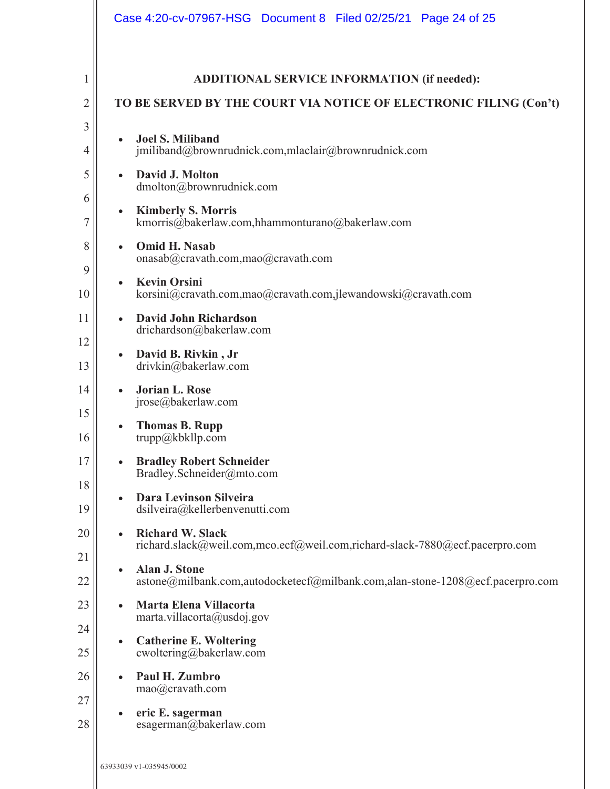|                     | Case 4:20-cv-07967-HSG  Document 8  Filed 02/25/21  Page 24 of 25                                                       |
|---------------------|-------------------------------------------------------------------------------------------------------------------------|
| 1<br>$\overline{2}$ | <b>ADDITIONAL SERVICE INFORMATION (if needed):</b><br>TO BE SERVED BY THE COURT VIA NOTICE OF ELECTRONIC FILING (Con't) |
| 3<br>4              | <b>Joel S. Miliband</b><br>$\bullet$<br>jmiliband@brownrudnick.com,mlaclair@brownrudnick.com                            |
| 5<br>6              | David J. Molton<br>$\bullet$<br>dmolton@brownrudnick.com                                                                |
| 7                   | <b>Kimberly S. Morris</b><br>$\bullet$<br>kmorris@bakerlaw.com,hhammonturano@bakerlaw.com                               |
| 8<br>9              | <b>Omid H. Nasab</b><br>$\bullet$<br>onasab@cravath.com,mao@cravath.com                                                 |
| 10                  | <b>Kevin Orsini</b><br>$\bullet$<br>korsini@cravath.com,mao@cravath.com,jlewandowski@cravath.com                        |
| 11<br>12            | David John Richardson<br>$\bullet$<br>drichardson@bakerlaw.com                                                          |
| 13                  | David B. Rivkin, Jr<br>$\bullet$<br>drivkin@bakerlaw.com                                                                |
| 14<br>15            | <b>Jorian L. Rose</b><br>$\bullet$<br>$\text{jrose}(\widehat{a})$ bakerlaw.com                                          |
| 16                  | <b>Thomas B. Rupp</b><br>$\bullet$<br>trupp@kbllp.com                                                                   |
| 17<br>18            | <b>Bradley Robert Schneider</b><br>$\bullet$<br>Bradley.Schneider@mto.com                                               |
| 19                  | Dara Levinson Silveira<br>$\bullet$<br>dsilveira@kellerbenvenutti.com                                                   |
| 20<br>21            | <b>Richard W. Slack</b><br>$\bullet$<br>richard.slack@weil.com,mco.ecf@weil.com,richard-slack-7880@ecf.pacerpro.com     |
| 22                  | Alan J. Stone<br>$\bullet$<br>astone@milbank.com,autodocketecf@milbank.com,alan-stone-1208@ecf.pacerpro.com             |
| 23<br>24            | Marta Elena Villacorta<br>$\bullet$<br>marta.villacorta@usdoj.gov                                                       |
| 25                  | <b>Catherine E. Woltering</b><br>$\bullet$<br>cwoltering@bakerlaw.com                                                   |
| 26<br>27            | Paul H. Zumbro<br>$\bullet$<br>mao@cravath.com                                                                          |
| 28                  | eric E. sagerman<br>$\bullet$<br>esagerman@bakerlaw.com                                                                 |
|                     | 63933039 v1-035945/0002                                                                                                 |